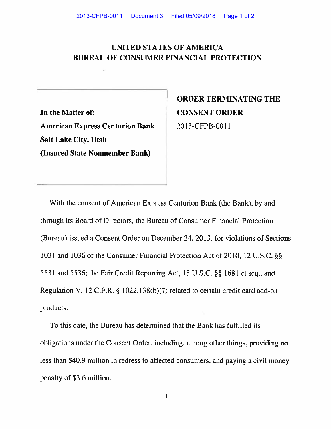## **UNITED STATES OF AMERICA BUREAU OF CONSUMER FINANCIAL PROTECTION**

**In the Matter of: American Express Centurion Bank Salt Lake City, Utah (Insured State Nonmember Bank)** 

**ORDER TERMINATING THE CONSENT ORDER**  2013-CFPB-0011

With the consent of American Express Centurion Bank (the Bank), by and through its Board of Directors, the Bureau of Consumer Financial Protection (Bureau) issued a Consent Order on December 24, 2013, for violations of Sections 1031 and 1036 of the Consumer Financial Protection Act of 2010, 12 U.S.C. §§ 5531 and 5536; the Fair Credit Reporting Act, 15 U.S.C. §§ 1681 et seq., and Regulation V, 12 C.F.R. § 1022.138(b)(7) related to certain credit card add-on products.

To this date, the Bureau has determined that the Bank has fulfilled its obligations under the Consent Order, including, among other things, providing no less than \$40.9 million in redress to affected consumers, and paying a civil money penalty of \$3.6 million.

 $\mathbf{I}$